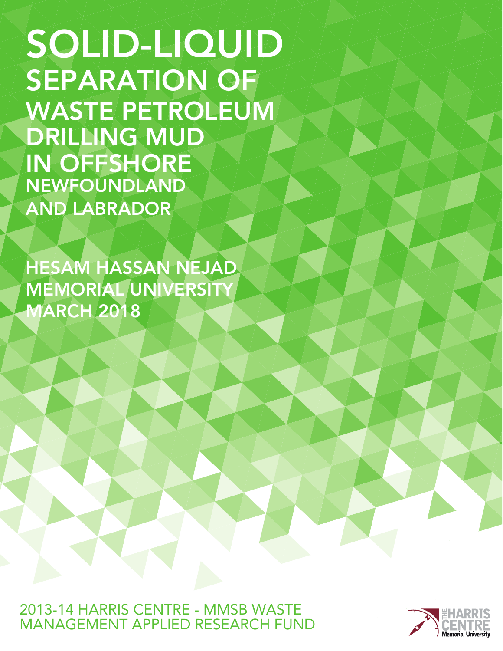SOLID-LIQUID SEPARATION OF WASTE PETROLEUM DRILLING MUD IN OFFSHORE NEWFOUNDLAND AND LABRADOR

HESAM HASSAN NEJAD MEMORIAL UNIVERSITY MARCH 2018

2013-14 HARRIS CENTRE - MMSB WASTE MANAGFMENT APPLIED RESEARCH FUND

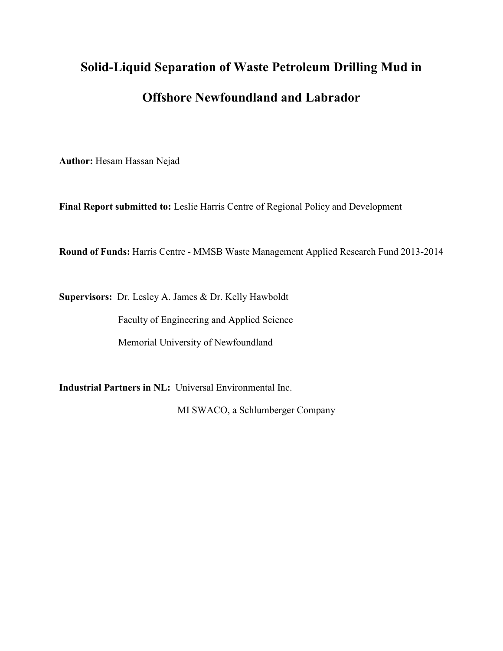# **Solid-Liquid Separation of Waste Petroleum Drilling Mud in Offshore Newfoundland and Labrador**

**Author:** Hesam Hassan Nejad

**Final Report submitted to:** Leslie Harris Centre of Regional Policy and Development

**Round of Funds:** Harris Centre - MMSB Waste Management Applied Research Fund 2013-2014

**Supervisors:** Dr. Lesley A. James & Dr. Kelly Hawboldt

Faculty of Engineering and Applied Science

Memorial University of Newfoundland

**Industrial Partners in NL:** Universal Environmental Inc.

MI SWACO, a Schlumberger Company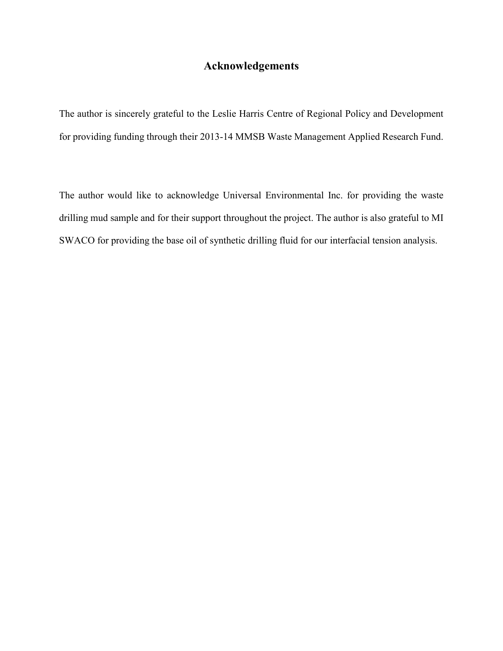# **Acknowledgements**

The author is sincerely grateful to the Leslie Harris Centre of Regional Policy and Development for providing funding through their 2013-14 MMSB Waste Management Applied Research Fund.

The author would like to acknowledge Universal Environmental Inc. for providing the waste drilling mud sample and for their support throughout the project. The author is also grateful to MI SWACO for providing the base oil of synthetic drilling fluid for our interfacial tension analysis.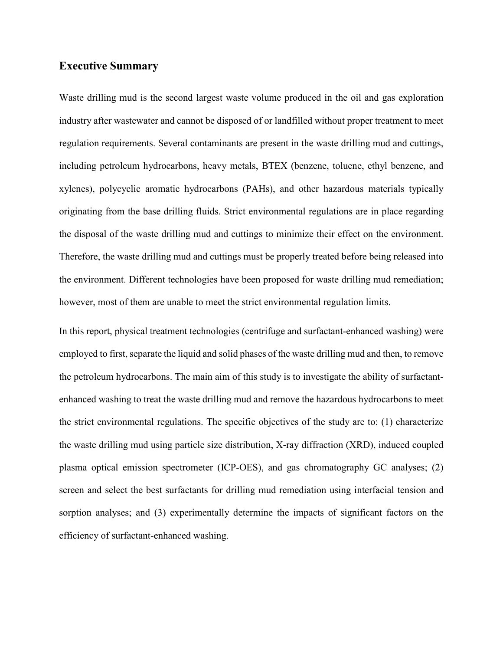### **Executive Summary**

Waste drilling mud is the second largest waste volume produced in the oil and gas exploration industry after wastewater and cannot be disposed of or landfilled without proper treatment to meet regulation requirements. Several contaminants are present in the waste drilling mud and cuttings, including petroleum hydrocarbons, heavy metals, BTEX (benzene, toluene, ethyl benzene, and xylenes), polycyclic aromatic hydrocarbons (PAHs), and other hazardous materials typically originating from the base drilling fluids. Strict environmental regulations are in place regarding the disposal of the waste drilling mud and cuttings to minimize their effect on the environment. Therefore, the waste drilling mud and cuttings must be properly treated before being released into the environment. Different technologies have been proposed for waste drilling mud remediation; however, most of them are unable to meet the strict environmental regulation limits.

In this report, physical treatment technologies (centrifuge and surfactant-enhanced washing) were employed to first, separate the liquid and solid phases of the waste drilling mud and then, to remove the petroleum hydrocarbons. The main aim of this study is to investigate the ability of surfactantenhanced washing to treat the waste drilling mud and remove the hazardous hydrocarbons to meet the strict environmental regulations. The specific objectives of the study are to: (1) characterize the waste drilling mud using particle size distribution, X-ray diffraction (XRD), induced coupled plasma optical emission spectrometer (ICP-OES), and gas chromatography GC analyses; (2) screen and select the best surfactants for drilling mud remediation using interfacial tension and sorption analyses; and (3) experimentally determine the impacts of significant factors on the efficiency of surfactant-enhanced washing.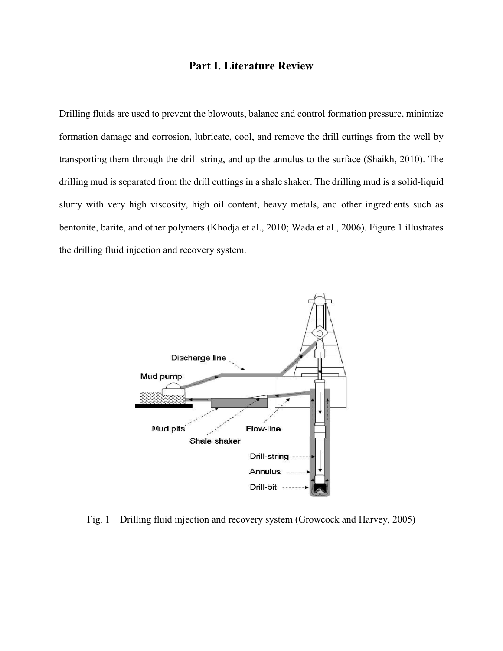## **Part I. Literature Review**

Drilling fluids are used to prevent the blowouts, balance and control formation pressure, minimize formation damage and corrosion, lubricate, cool, and remove the drill cuttings from the well by transporting them through the drill string, and up the annulus to the surface (Shaikh, 2010). The drilling mud is separated from the drill cuttings in a shale shaker. The drilling mud is a solid-liquid slurry with very high viscosity, high oil content, heavy metals, and other ingredients such as bentonite, barite, and other polymers (Khodja et al., 2010; Wada et al., 2006). Figure 1 illustrates the drilling fluid injection and recovery system.



Fig. 1 – Drilling fluid injection and recovery system (Growcock and Harvey, 2005)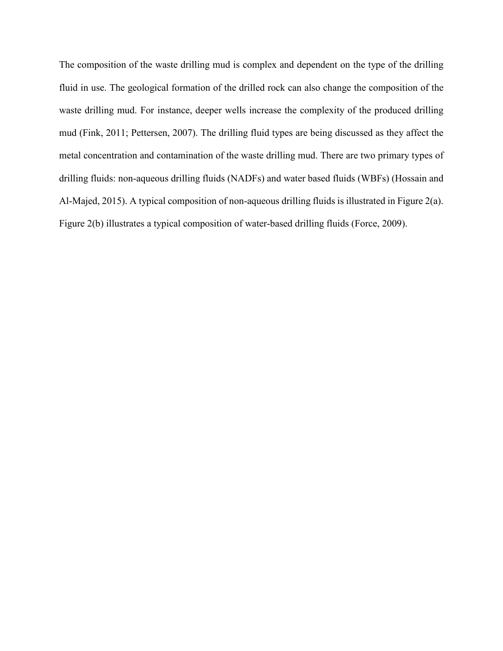The composition of the waste drilling mud is complex and dependent on the type of the drilling fluid in use. The geological formation of the drilled rock can also change the composition of the waste drilling mud. For instance, deeper wells increase the complexity of the produced drilling mud (Fink, 2011; Pettersen, 2007). The drilling fluid types are being discussed as they affect the metal concentration and contamination of the waste drilling mud. There are two primary types of drilling fluids: non-aqueous drilling fluids (NADFs) and water based fluids (WBFs) (Hossain and Al-Majed, 2015). A typical composition of non-aqueous drilling fluids is illustrated in Figure 2(a). Figure 2(b) illustrates a typical composition of water-based drilling fluids (Force, 2009).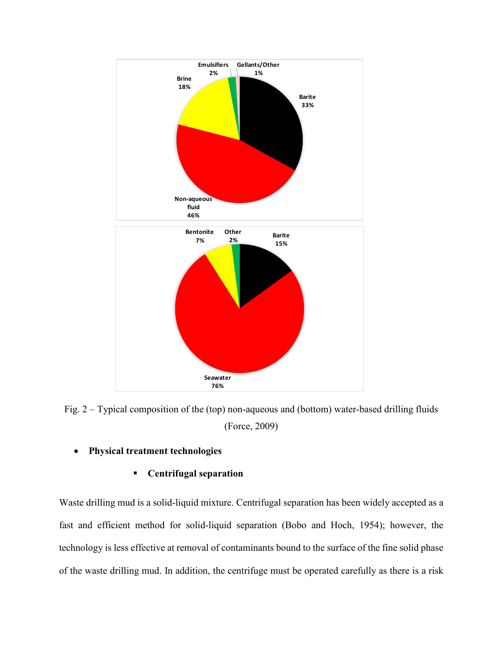

Fig. 2 – Typical composition of the (top) non-aqueous and (bottom) water-based drilling fluids (Force, 2009)

• **Physical treatment technologies** 

## **Centrifugal separation**

Waste drilling mud is a solid-liquid mixture. Centrifugal separation has been widely accepted as a fast and efficient method for solid-liquid separation (Bobo and Hoch, 1954); however, the technology is less effective at removal of contaminants bound to the surface of the fine solid phase of the waste drilling mud. In addition, the centrifuge must be operated carefully as there is a risk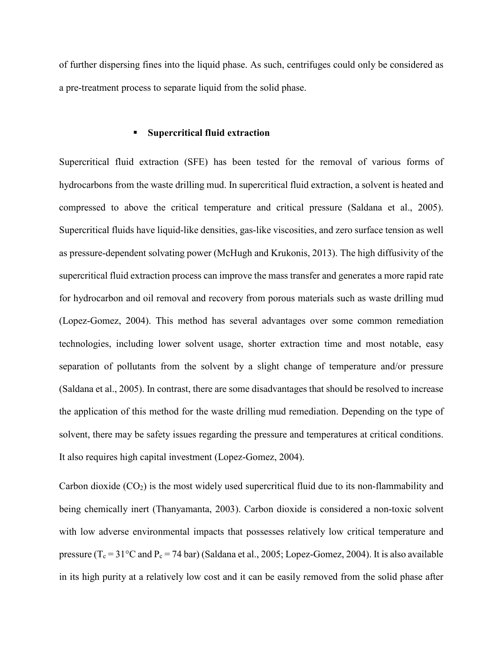of further dispersing fines into the liquid phase. As such, centrifuges could only be considered as a pre-treatment process to separate liquid from the solid phase.

#### **Supercritical fluid extraction**

Supercritical fluid extraction (SFE) has been tested for the removal of various forms of hydrocarbons from the waste drilling mud. In supercritical fluid extraction, a solvent is heated and compressed to above the critical temperature and critical pressure (Saldana et al., 2005). Supercritical fluids have liquid-like densities, gas-like viscosities, and zero surface tension as well as pressure-dependent solvating power (McHugh and Krukonis, 2013). The high diffusivity of the supercritical fluid extraction process can improve the mass transfer and generates a more rapid rate for hydrocarbon and oil removal and recovery from porous materials such as waste drilling mud (Lopez-Gomez, 2004). This method has several advantages over some common remediation technologies, including lower solvent usage, shorter extraction time and most notable, easy separation of pollutants from the solvent by a slight change of temperature and/or pressure (Saldana et al., 2005). In contrast, there are some disadvantages that should be resolved to increase the application of this method for the waste drilling mud remediation. Depending on the type of solvent, there may be safety issues regarding the pressure and temperatures at critical conditions. It also requires high capital investment (Lopez-Gomez, 2004).

Carbon dioxide  $(CO_2)$  is the most widely used supercritical fluid due to its non-flammability and being chemically inert (Thanyamanta, 2003). Carbon dioxide is considered a non-toxic solvent with low adverse environmental impacts that possesses relatively low critical temperature and pressure ( $T_c = 31^{\circ}$ C and  $P_c = 74$  bar) (Saldana et al., 2005; Lopez-Gomez, 2004). It is also available in its high purity at a relatively low cost and it can be easily removed from the solid phase after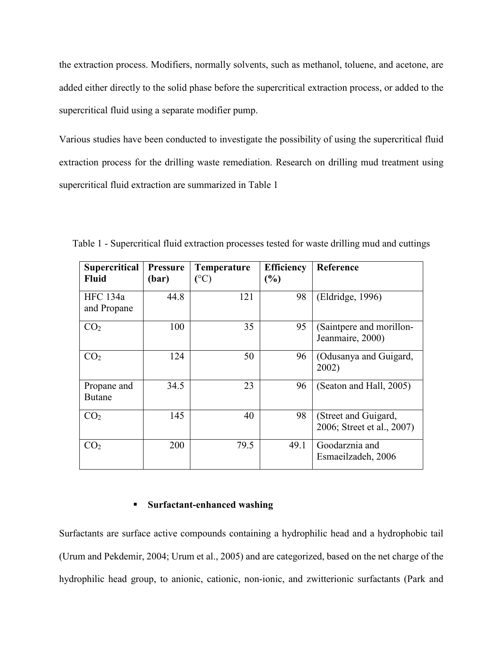the extraction process. Modifiers, normally solvents, such as methanol, toluene, and acetone, are added either directly to the solid phase before the supercritical extraction process, or added to the supercritical fluid using a separate modifier pump.

Various studies have been conducted to investigate the possibility of using the supercritical fluid extraction process for the drilling waste remediation. Research on drilling mud treatment using supercritical fluid extraction are summarized in Table 1

| <b>Supercritical</b><br><b>Fluid</b> | <b>Pressure</b><br>(bar) | Temperature<br>$(^\circ C)$ | <b>Efficiency</b><br>$(\%)$ | Reference                                          |
|--------------------------------------|--------------------------|-----------------------------|-----------------------------|----------------------------------------------------|
| <b>HFC</b> 134a<br>and Propane       | 44.8                     | 121                         | 98                          | (Eldridge, 1996)                                   |
| CO <sub>2</sub>                      | 100                      | 35                          | 95                          | (Saintpere and morillon-<br>Jeanmaire, 2000)       |
| CO <sub>2</sub>                      | 124                      | 50                          | 96                          | (Odusanya and Guigard,<br>2002)                    |
| Propane and<br><b>Butane</b>         | 34.5                     | 23                          | 96                          | (Seaton and Hall, 2005)                            |
| CO <sub>2</sub>                      | 145                      | 40                          | 98                          | (Street and Guigard,<br>2006; Street et al., 2007) |
| CO <sub>2</sub>                      | 200                      | 79.5                        | 49.1                        | Goodarznia and<br>Esmaeilzadeh, 2006               |

Table 1 - Supercritical fluid extraction processes tested for waste drilling mud and cuttings

#### **Surfactant-enhanced washing**

Surfactants are surface active compounds containing a hydrophilic head and a hydrophobic tail (Urum and Pekdemir, 2004; Urum et al., 2005) and are categorized, based on the net charge of the hydrophilic head group, to anionic, cationic, non-ionic, and zwitterionic surfactants (Park and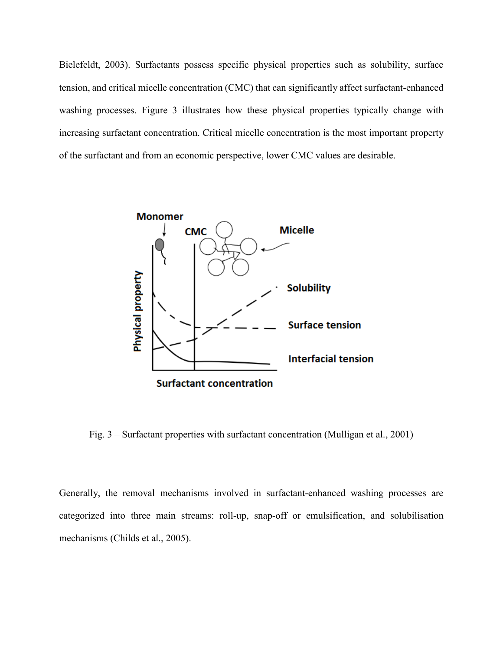Bielefeldt, 2003). Surfactants possess specific physical properties such as solubility, surface tension, and critical micelle concentration (CMC) that can significantly affect surfactant-enhanced washing processes. Figure 3 illustrates how these physical properties typically change with increasing surfactant concentration. Critical micelle concentration is the most important property of the surfactant and from an economic perspective, lower CMC values are desirable.



Fig. 3 – Surfactant properties with surfactant concentration (Mulligan et al., 2001)

Generally, the removal mechanisms involved in surfactant-enhanced washing processes are categorized into three main streams: roll-up, snap-off or emulsification, and solubilisation mechanisms (Childs et al., 2005).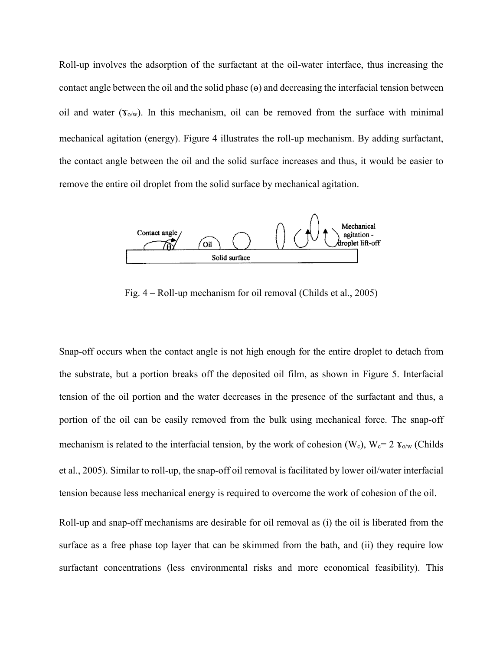Roll-up involves the adsorption of the surfactant at the oil-water interface, thus increasing the contact angle between the oil and the solid phase  $(\theta)$  and decreasing the interfacial tension between oil and water  $(\Upsilon_{o/w})$ . In this mechanism, oil can be removed from the surface with minimal mechanical agitation (energy). Figure 4 illustrates the roll-up mechanism. By adding surfactant, the contact angle between the oil and the solid surface increases and thus, it would be easier to remove the entire oil droplet from the solid surface by mechanical agitation.



Fig. 4 – Roll-up mechanism for oil removal (Childs et al., 2005)

Snap-off occurs when the contact angle is not high enough for the entire droplet to detach from the substrate, but a portion breaks off the deposited oil film, as shown in Figure 5. Interfacial tension of the oil portion and the water decreases in the presence of the surfactant and thus, a portion of the oil can be easily removed from the bulk using mechanical force. The snap-off mechanism is related to the interfacial tension, by the work of cohesion (W<sub>c</sub>), W<sub>c</sub>= 2  $\gamma_{0/w}$  (Childs et al., 2005). Similar to roll-up, the snap-off oil removal is facilitated by lower oil/water interfacial tension because less mechanical energy is required to overcome the work of cohesion of the oil.

Roll-up and snap-off mechanisms are desirable for oil removal as (i) the oil is liberated from the surface as a free phase top layer that can be skimmed from the bath, and (ii) they require low surfactant concentrations (less environmental risks and more economical feasibility). This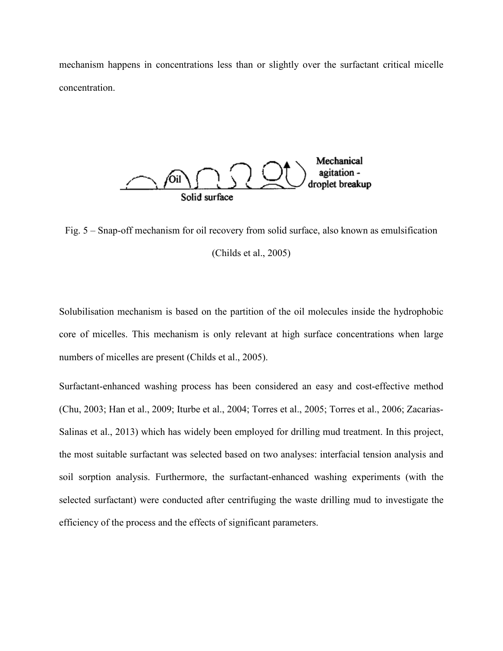mechanism happens in concentrations less than or slightly over the surfactant critical micelle concentration.



Fig. 5 – Snap-off mechanism for oil recovery from solid surface, also known as emulsification (Childs et al., 2005)

Solubilisation mechanism is based on the partition of the oil molecules inside the hydrophobic core of micelles. This mechanism is only relevant at high surface concentrations when large numbers of micelles are present (Childs et al., 2005).

Surfactant-enhanced washing process has been considered an easy and cost-effective method (Chu, 2003; Han et al., 2009; Iturbe et al., 2004; Torres et al., 2005; Torres et al., 2006; Zacarias-Salinas et al., 2013) which has widely been employed for drilling mud treatment. In this project, the most suitable surfactant was selected based on two analyses: interfacial tension analysis and soil sorption analysis. Furthermore, the surfactant-enhanced washing experiments (with the selected surfactant) were conducted after centrifuging the waste drilling mud to investigate the efficiency of the process and the effects of significant parameters.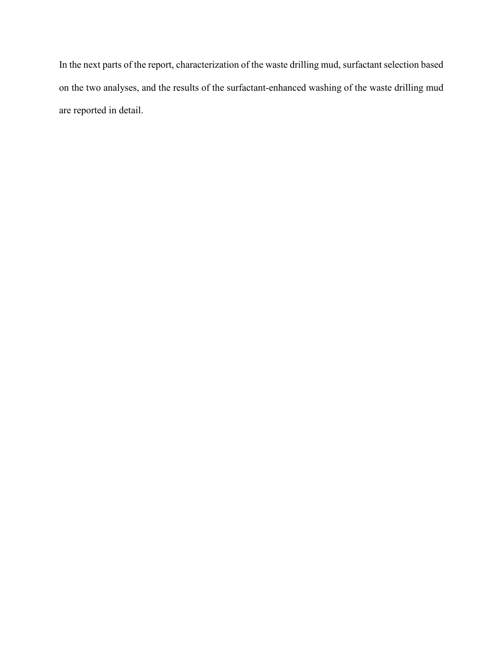In the next parts of the report, characterization of the waste drilling mud, surfactant selection based on the two analyses, and the results of the surfactant-enhanced washing of the waste drilling mud are reported in detail.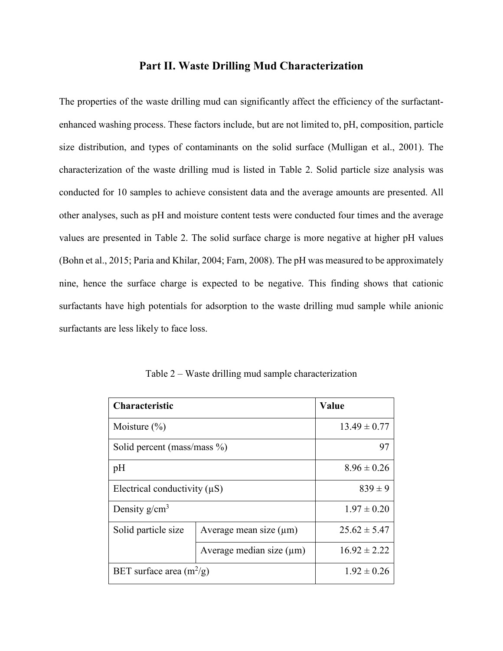## **Part II. Waste Drilling Mud Characterization**

The properties of the waste drilling mud can significantly affect the efficiency of the surfactantenhanced washing process. These factors include, but are not limited to, pH, composition, particle size distribution, and types of contaminants on the solid surface (Mulligan et al., 2001). The characterization of the waste drilling mud is listed in Table 2. Solid particle size analysis was conducted for 10 samples to achieve consistent data and the average amounts are presented. All other analyses, such as pH and moisture content tests were conducted four times and the average values are presented in Table 2. The solid surface charge is more negative at higher pH values (Bohn et al., 2015; Paria and Khilar, 2004; Farn, 2008). The pH was measured to be approximately nine, hence the surface charge is expected to be negative. This finding shows that cationic surfactants have high potentials for adsorption to the waste drilling mud sample while anionic surfactants are less likely to face loss.

| <b>Characteristic</b>             | Value                         |                  |
|-----------------------------------|-------------------------------|------------------|
| Moisture $(\% )$                  | $13.49 \pm 0.77$              |                  |
| Solid percent (mass/mass %)       | 97                            |                  |
| pH                                | $8.96 \pm 0.26$               |                  |
| Electrical conductivity $(\mu S)$ | $839 \pm 9$                   |                  |
| Density $g/cm^3$                  | $1.97 \pm 0.20$               |                  |
| Solid particle size               | Average mean size $(\mu m)$   | $25.62 \pm 5.47$ |
|                                   | Average median size $(\mu m)$ | $16.92 \pm 2.22$ |
| BET surface area $(m^2/g)$        | $1.92 \pm 0.26$               |                  |

Table 2 – Waste drilling mud sample characterization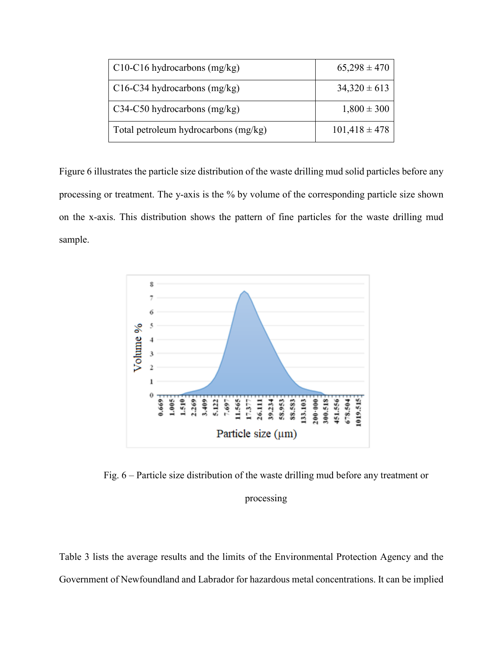| $C10-C16$ hydrocarbons (mg/kg)       | $65,298 \pm 470$  |
|--------------------------------------|-------------------|
| C16-C34 hydrocarbons $(mg/kg)$       | $34,320 \pm 613$  |
| C34-C50 hydrocarbons $(mg/kg)$       | $1,800 \pm 300$   |
| Total petroleum hydrocarbons (mg/kg) | $101,418 \pm 478$ |

Figure 6 illustrates the particle size distribution of the waste drilling mud solid particles before any processing or treatment. The y-axis is the % by volume of the corresponding particle size shown on the x-axis. This distribution shows the pattern of fine particles for the waste drilling mud sample.



Fig. 6 – Particle size distribution of the waste drilling mud before any treatment or

## processing

Table 3 lists the average results and the limits of the Environmental Protection Agency and the Government of Newfoundland and Labrador for hazardous metal concentrations. It can be implied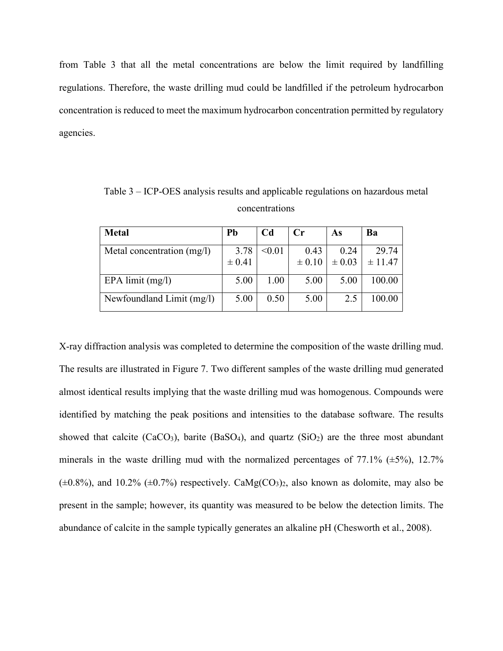from Table 3 that all the metal concentrations are below the limit required by landfilling regulations. Therefore, the waste drilling mud could be landfilled if the petroleum hydrocarbon concentration is reduced to meet the maximum hydrocarbon concentration permitted by regulatory agencies.

| <b>Metal</b>               | Pb         | Cd     | $\mathbf{C}$ r | As         | Ba      |
|----------------------------|------------|--------|----------------|------------|---------|
| Metal concentration (mg/l) | 3.78       | < 0.01 | 0.43           | 0.24       | 29.74   |
|                            | $\pm 0.41$ |        | $\pm 0.10$     | $\pm 0.03$ | ± 11.47 |
| EPA limit $(mg/l)$         | 5.00       | 1.00   | 5.00           | 5.00       | 100.00  |
| Newfoundland Limit (mg/l)  | 5.00       | 0.50   | 5.00           | 2.5        | 100.00  |

Table 3 – ICP-OES analysis results and applicable regulations on hazardous metal concentrations

X-ray diffraction analysis was completed to determine the composition of the waste drilling mud. The results are illustrated in Figure 7. Two different samples of the waste drilling mud generated almost identical results implying that the waste drilling mud was homogenous. Compounds were identified by matching the peak positions and intensities to the database software. The results showed that calcite (CaCO<sub>3</sub>), barite (BaSO<sub>4</sub>), and quartz (SiO<sub>2</sub>) are the three most abundant minerals in the waste drilling mud with the normalized percentages of  $77.1\%$  ( $\pm 5\%$ ), 12.7%  $(\pm 0.8\%)$ , and 10.2%  $(\pm 0.7\%)$  respectively. CaMg(CO<sub>3</sub>)<sub>2</sub>, also known as dolomite, may also be present in the sample; however, its quantity was measured to be below the detection limits. The abundance of calcite in the sample typically generates an alkaline pH (Chesworth et al., 2008).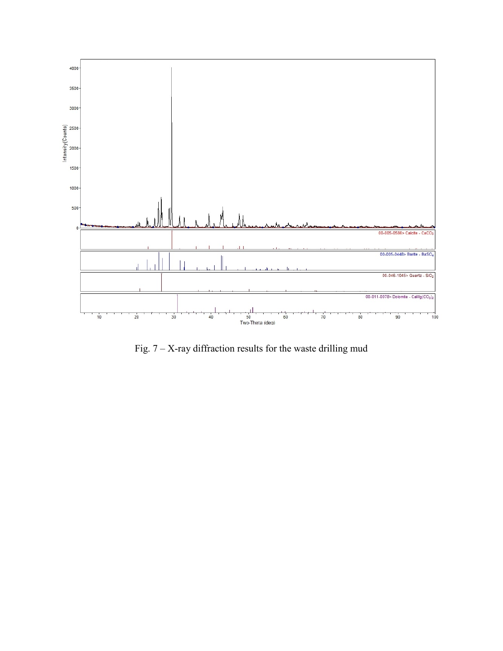

Fig.  $7 - X$ -ray diffraction results for the waste drilling mud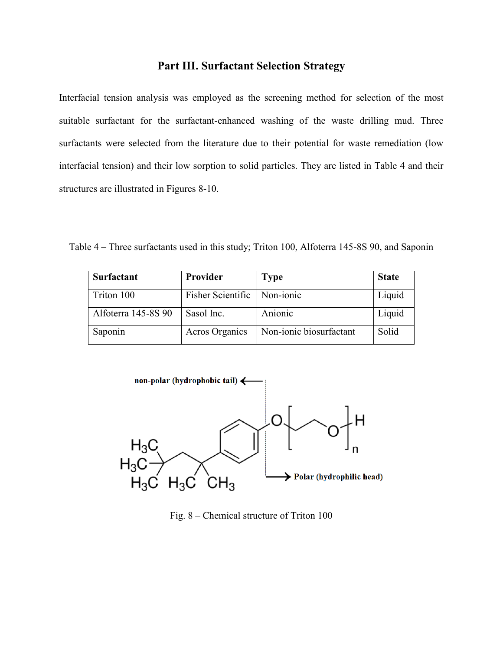## **Part III. Surfactant Selection Strategy**

Interfacial tension analysis was employed as the screening method for selection of the most suitable surfactant for the surfactant-enhanced washing of the waste drilling mud. Three surfactants were selected from the literature due to their potential for waste remediation (low interfacial tension) and their low sorption to solid particles. They are listed in Table 4 and their structures are illustrated in Figures 8-10.

Table 4 – Three surfactants used in this study; Triton 100, Alfoterra 145-8S 90, and Saponin

| <b>Surfactant</b>   | Provider              | <b>Type</b>             | <b>State</b> |
|---------------------|-----------------------|-------------------------|--------------|
| Triton 100          | Fisher Scientific     | Non-ionic               | Liquid       |
| Alfoterra 145-8S 90 | Sasol Inc.            | Anionic                 | Liquid       |
| Saponin             | <b>Acros Organics</b> | Non-ionic biosurfactant | Solid        |



Fig. 8 – Chemical structure of Triton 100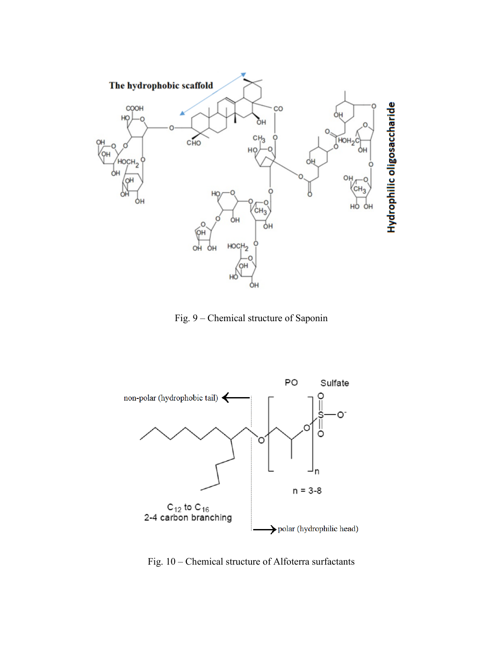

Fig. 9 – Chemical structure of Saponin



Fig. 10 – Chemical structure of Alfoterra surfactants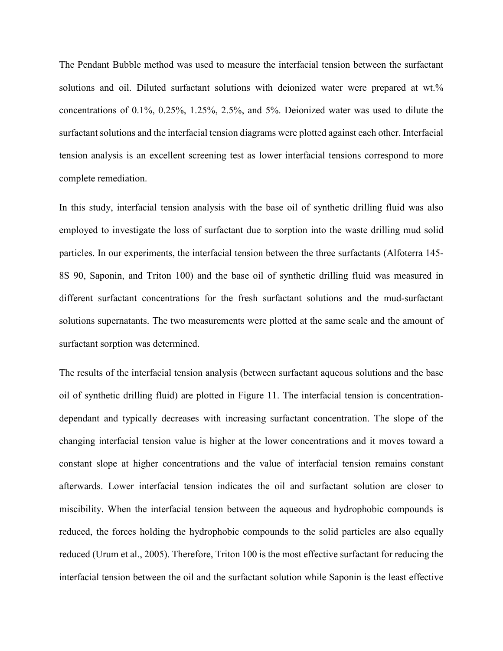The Pendant Bubble method was used to measure the interfacial tension between the surfactant solutions and oil. Diluted surfactant solutions with deionized water were prepared at wt.% concentrations of 0.1%, 0.25%, 1.25%, 2.5%, and 5%. Deionized water was used to dilute the surfactant solutions and the interfacial tension diagrams were plotted against each other. Interfacial tension analysis is an excellent screening test as lower interfacial tensions correspond to more complete remediation.

In this study, interfacial tension analysis with the base oil of synthetic drilling fluid was also employed to investigate the loss of surfactant due to sorption into the waste drilling mud solid particles. In our experiments, the interfacial tension between the three surfactants (Alfoterra 145- 8S 90, Saponin, and Triton 100) and the base oil of synthetic drilling fluid was measured in different surfactant concentrations for the fresh surfactant solutions and the mud-surfactant solutions supernatants. The two measurements were plotted at the same scale and the amount of surfactant sorption was determined.

The results of the interfacial tension analysis (between surfactant aqueous solutions and the base oil of synthetic drilling fluid) are plotted in Figure 11. The interfacial tension is concentrationdependant and typically decreases with increasing surfactant concentration. The slope of the changing interfacial tension value is higher at the lower concentrations and it moves toward a constant slope at higher concentrations and the value of interfacial tension remains constant afterwards. Lower interfacial tension indicates the oil and surfactant solution are closer to miscibility. When the interfacial tension between the aqueous and hydrophobic compounds is reduced, the forces holding the hydrophobic compounds to the solid particles are also equally reduced (Urum et al., 2005). Therefore, Triton 100 is the most effective surfactant for reducing the interfacial tension between the oil and the surfactant solution while Saponin is the least effective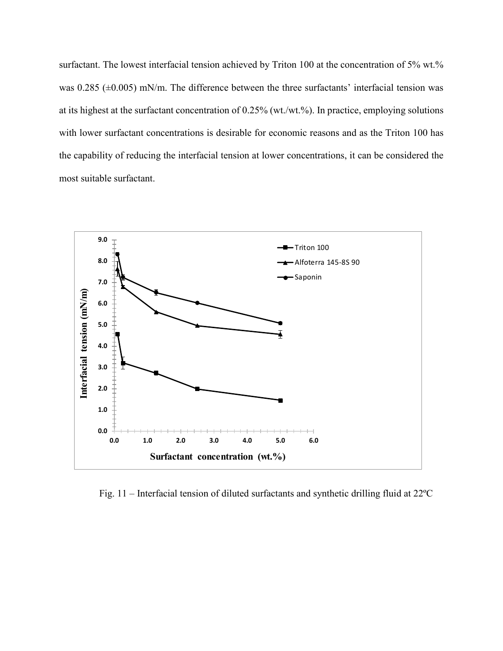surfactant. The lowest interfacial tension achieved by Triton 100 at the concentration of 5% wt.% was  $0.285$  ( $\pm 0.005$ ) mN/m. The difference between the three surfactants' interfacial tension was at its highest at the surfactant concentration of 0.25% (wt./wt.%). In practice, employing solutions with lower surfactant concentrations is desirable for economic reasons and as the Triton 100 has the capability of reducing the interfacial tension at lower concentrations, it can be considered the most suitable surfactant.



Fig. 11 – Interfacial tension of diluted surfactants and synthetic drilling fluid at 22ºC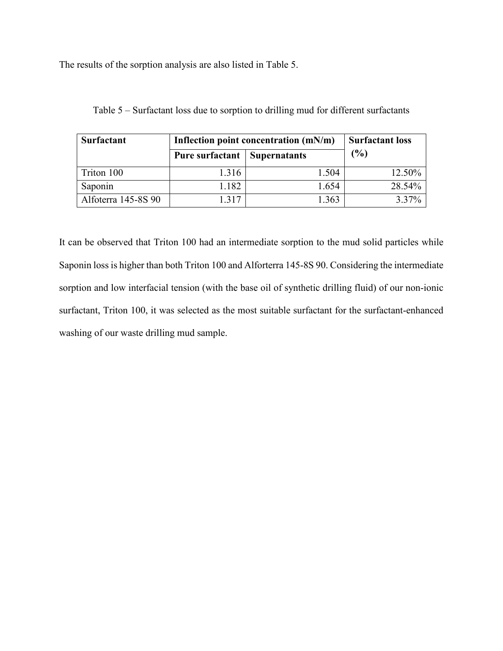The results of the sorption analysis are also listed in Table 5.

| <b>Surfactant</b>   | Inflection point concentration $(mN/m)$ | <b>Surfactant loss</b> |          |
|---------------------|-----------------------------------------|------------------------|----------|
|                     | <b>Pure surfactant   Supernatants</b>   |                        | (%)      |
| Triton 100          | 1.316                                   | 1.504                  | 12.50%   |
| Saponin             | 1.182                                   | 1.654                  | 28.54%   |
| Alfoterra 145-8S 90 | 1 317                                   | 1.363                  | $3.37\%$ |

Table 5 – Surfactant loss due to sorption to drilling mud for different surfactants

It can be observed that Triton 100 had an intermediate sorption to the mud solid particles while Saponin loss is higher than both Triton 100 and Alforterra 145-8S 90. Considering the intermediate sorption and low interfacial tension (with the base oil of synthetic drilling fluid) of our non-ionic surfactant, Triton 100, it was selected as the most suitable surfactant for the surfactant-enhanced washing of our waste drilling mud sample.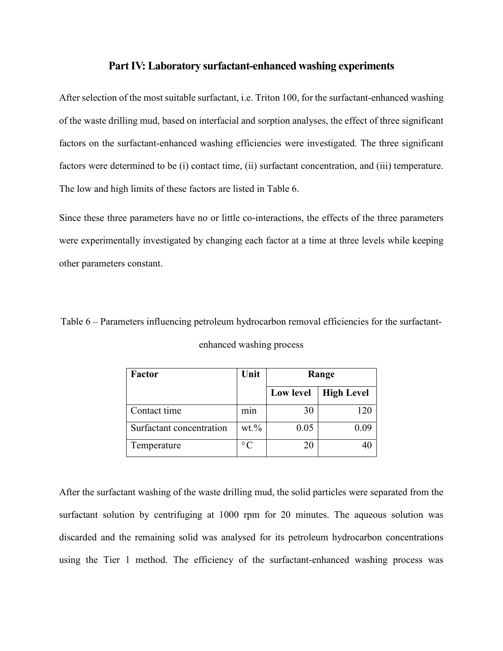## **Part IV: Laboratory surfactant-enhanced washing experiments**

After selection of the most suitable surfactant, i.e. Triton 100, for the surfactant-enhanced washing of the waste drilling mud, based on interfacial and sorption analyses, the effect of three significant factors on the surfactant-enhanced washing efficiencies were investigated. The three significant factors were determined to be (i) contact time, (ii) surfactant concentration, and (iii) temperature. The low and high limits of these factors are listed in Table 6.

Since these three parameters have no or little co-interactions, the effects of the three parameters were experimentally investigated by changing each factor at a time at three levels while keeping other parameters constant.

Table 6 – Parameters influencing petroleum hydrocarbon removal efficiencies for the surfactantenhanced washing process

| Factor                   | Unit              | Range     |                   |
|--------------------------|-------------------|-----------|-------------------|
|                          |                   | Low level | <b>High Level</b> |
| Contact time             | mın               | 30        | 120               |
| Surfactant concentration | $wt$ .%           | 0.05      | () ()9            |
| Temperature              | $^{\circ}$ $\cap$ | 20        |                   |

After the surfactant washing of the waste drilling mud, the solid particles were separated from the surfactant solution by centrifuging at 1000 rpm for 20 minutes. The aqueous solution was discarded and the remaining solid was analysed for its petroleum hydrocarbon concentrations using the Tier 1 method. The efficiency of the surfactant-enhanced washing process was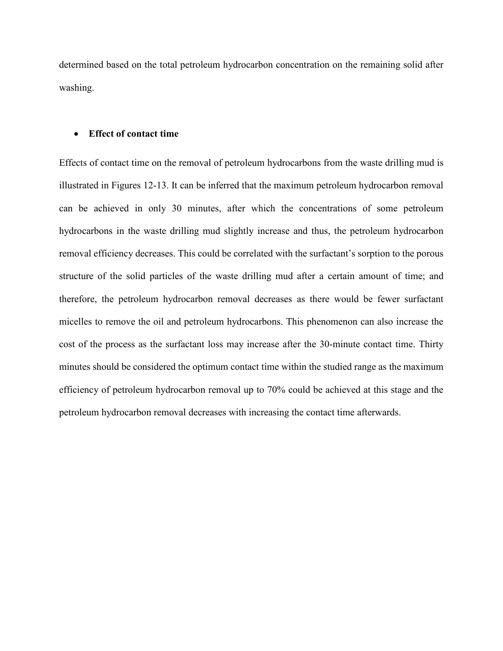determined based on the total petroleum hydrocarbon concentration on the remaining solid after washing.

#### • **Effect of contact time**

Effects of contact time on the removal of petroleum hydrocarbons from the waste drilling mud is illustrated in Figures 12-13. It can be inferred that the maximum petroleum hydrocarbon removal can be achieved in only 30 minutes, after which the concentrations of some petroleum hydrocarbons in the waste drilling mud slightly increase and thus, the petroleum hydrocarbon removal efficiency decreases. This could be correlated with the surfactant's sorption to the porous structure of the solid particles of the waste drilling mud after a certain amount of time; and therefore, the petroleum hydrocarbon removal decreases as there would be fewer surfactant micelles to remove the oil and petroleum hydrocarbons. This phenomenon can also increase the cost of the process as the surfactant loss may increase after the 30-minute contact time. Thirty minutes should be considered the optimum contact time within the studied range as the maximum efficiency of petroleum hydrocarbon removal up to 70% could be achieved at this stage and the petroleum hydrocarbon removal decreases with increasing the contact time afterwards.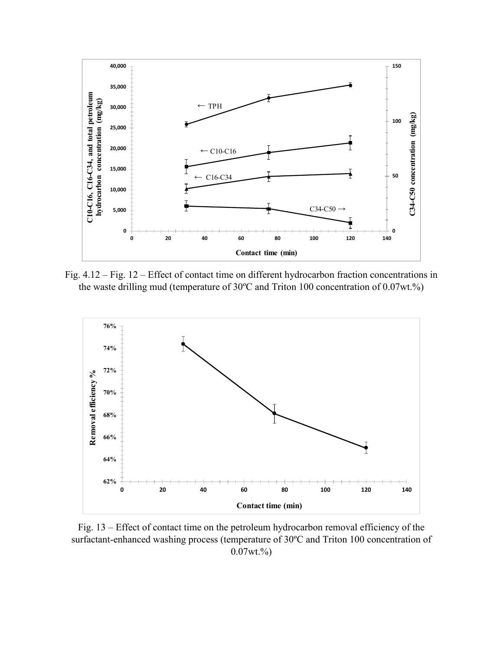

Fig. 4.12 – Fig. 12 – Effect of contact time on different hydrocarbon fraction concentrations in the waste drilling mud (temperature of 30ºC and Triton 100 concentration of 0.07wt.%)



Fig. 13 – Effect of contact time on the petroleum hydrocarbon removal efficiency of the surfactant-enhanced washing process (temperature of 30ºC and Triton 100 concentration of  $0.07wt.$ %)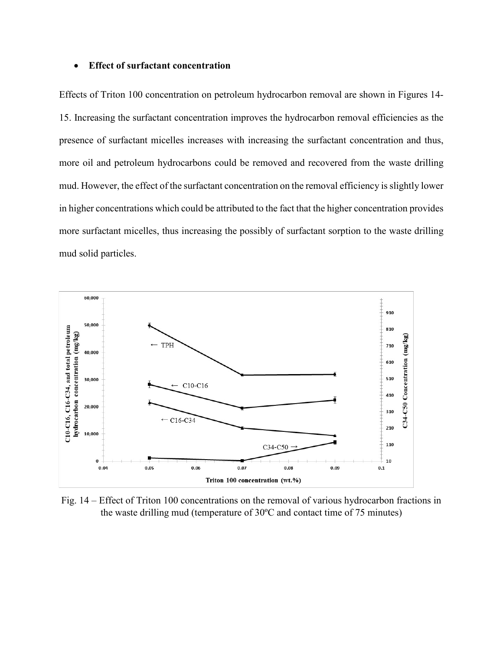#### • **Effect of surfactant concentration**

Effects of Triton 100 concentration on petroleum hydrocarbon removal are shown in Figures 14- 15. Increasing the surfactant concentration improves the hydrocarbon removal efficiencies as the presence of surfactant micelles increases with increasing the surfactant concentration and thus, more oil and petroleum hydrocarbons could be removed and recovered from the waste drilling mud. However, the effect of the surfactant concentration on the removal efficiency is slightly lower in higher concentrations which could be attributed to the fact that the higher concentration provides more surfactant micelles, thus increasing the possibly of surfactant sorption to the waste drilling mud solid particles.



Fig. 14 – Effect of Triton 100 concentrations on the removal of various hydrocarbon fractions in the waste drilling mud (temperature of 30ºC and contact time of 75 minutes)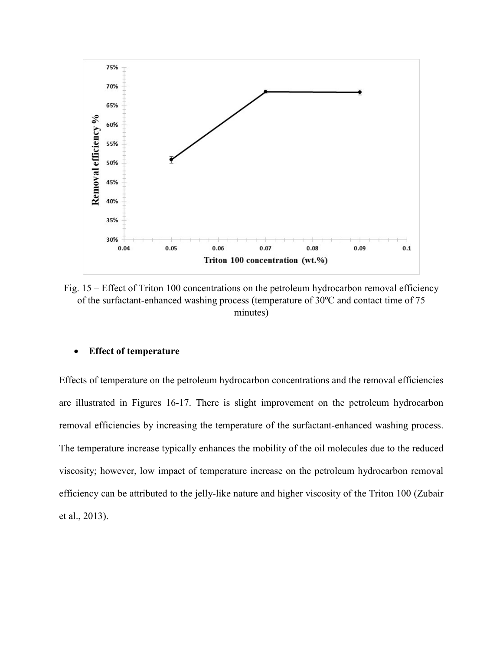

Fig. 15 – Effect of Triton 100 concentrations on the petroleum hydrocarbon removal efficiency of the surfactant-enhanced washing process (temperature of 30ºC and contact time of 75 minutes)

#### • **Effect of temperature**

Effects of temperature on the petroleum hydrocarbon concentrations and the removal efficiencies are illustrated in Figures 16-17. There is slight improvement on the petroleum hydrocarbon removal efficiencies by increasing the temperature of the surfactant-enhanced washing process. The temperature increase typically enhances the mobility of the oil molecules due to the reduced viscosity; however, low impact of temperature increase on the petroleum hydrocarbon removal efficiency can be attributed to the jelly-like nature and higher viscosity of the Triton 100 (Zubair et al., 2013).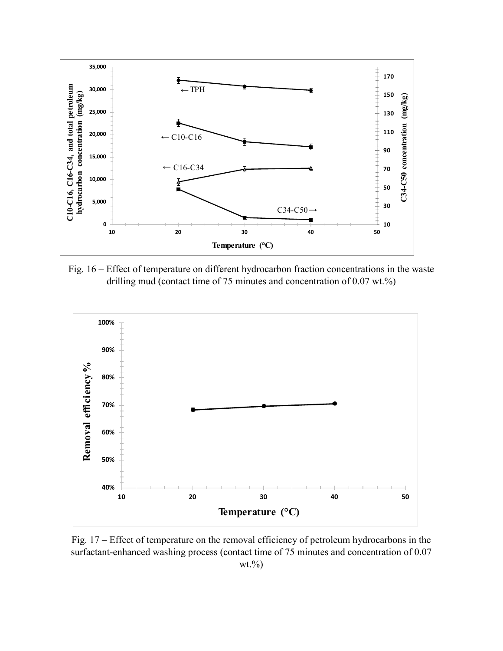

Fig. 16 – Effect of temperature on different hydrocarbon fraction concentrations in the waste drilling mud (contact time of 75 minutes and concentration of 0.07 wt.%)



Fig. 17 – Effect of temperature on the removal efficiency of petroleum hydrocarbons in the surfactant-enhanced washing process (contact time of 75 minutes and concentration of 0.07  $wt. \%$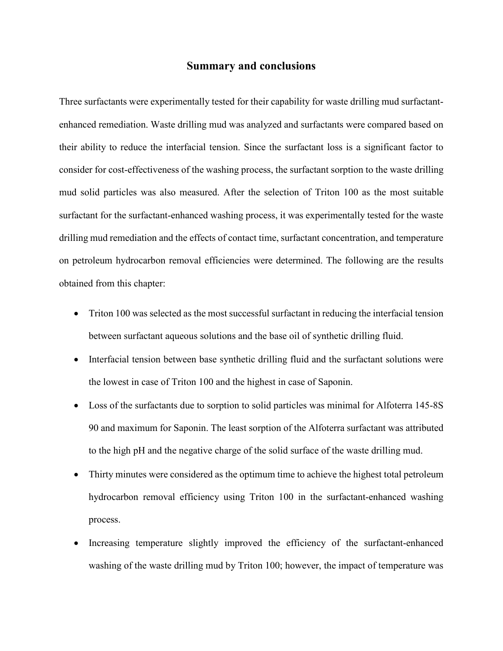#### **Summary and conclusions**

Three surfactants were experimentally tested for their capability for waste drilling mud surfactantenhanced remediation. Waste drilling mud was analyzed and surfactants were compared based on their ability to reduce the interfacial tension. Since the surfactant loss is a significant factor to consider for cost-effectiveness of the washing process, the surfactant sorption to the waste drilling mud solid particles was also measured. After the selection of Triton 100 as the most suitable surfactant for the surfactant-enhanced washing process, it was experimentally tested for the waste drilling mud remediation and the effects of contact time, surfactant concentration, and temperature on petroleum hydrocarbon removal efficiencies were determined. The following are the results obtained from this chapter:

- Triton 100 was selected as the most successful surfactant in reducing the interfacial tension between surfactant aqueous solutions and the base oil of synthetic drilling fluid.
- Interfacial tension between base synthetic drilling fluid and the surfactant solutions were the lowest in case of Triton 100 and the highest in case of Saponin.
- Loss of the surfactants due to sorption to solid particles was minimal for Alfoterra 145-8S 90 and maximum for Saponin. The least sorption of the Alfoterra surfactant was attributed to the high pH and the negative charge of the solid surface of the waste drilling mud.
- Thirty minutes were considered as the optimum time to achieve the highest total petroleum hydrocarbon removal efficiency using Triton 100 in the surfactant-enhanced washing process.
- Increasing temperature slightly improved the efficiency of the surfactant-enhanced washing of the waste drilling mud by Triton 100; however, the impact of temperature was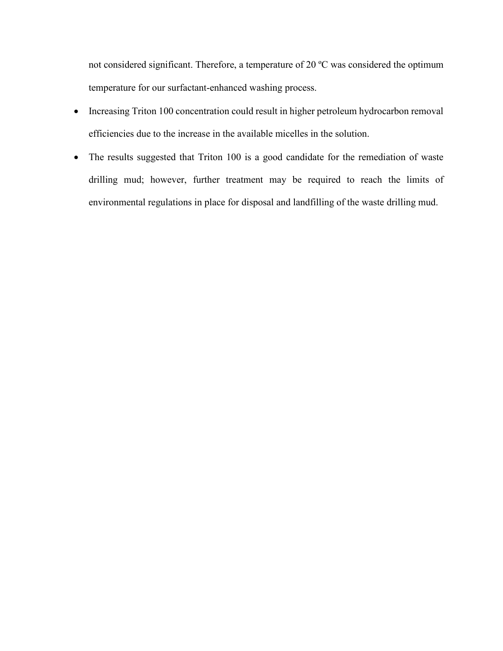not considered significant. Therefore, a temperature of 20 ºC was considered the optimum temperature for our surfactant-enhanced washing process.

- Increasing Triton 100 concentration could result in higher petroleum hydrocarbon removal efficiencies due to the increase in the available micelles in the solution.
- The results suggested that Triton 100 is a good candidate for the remediation of waste drilling mud; however, further treatment may be required to reach the limits of environmental regulations in place for disposal and landfilling of the waste drilling mud.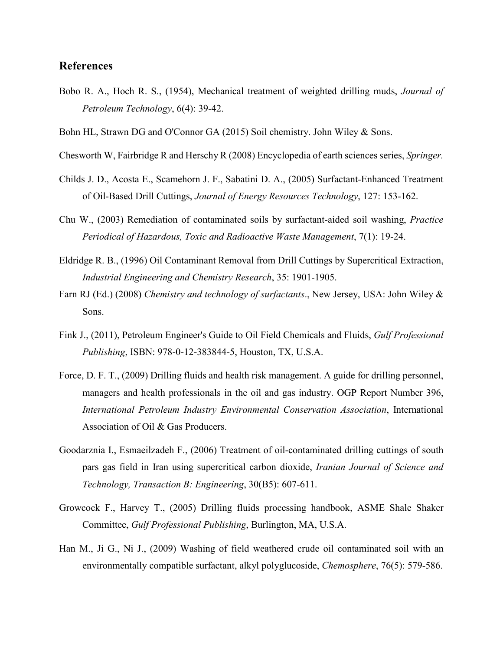## **References**

- Bobo R. A., Hoch R. S., (1954), Mechanical treatment of weighted drilling muds, *Journal of Petroleum Technology*, 6(4): 39-42.
- Bohn HL, Strawn DG and O'Connor GA (2015) Soil chemistry. John Wiley & Sons.
- Chesworth W, Fairbridge R and Herschy R (2008) Encyclopedia of earth sciences series, *Springer.*
- Childs J. D., Acosta E., Scamehorn J. F., Sabatini D. A., (2005) Surfactant-Enhanced Treatment of Oil-Based Drill Cuttings, *Journal of Energy Resources Technology*, 127: 153-162.
- Chu W., (2003) Remediation of contaminated soils by surfactant-aided soil washing, *Practice Periodical of Hazardous, Toxic and Radioactive Waste Management*, 7(1): 19-24.
- Eldridge R. B., (1996) Oil Contaminant Removal from Drill Cuttings by Supercritical Extraction, *Industrial Engineering and Chemistry Research*, 35: 1901-1905.
- Farn RJ (Ed.) (2008) *Chemistry and technology of surfactants*., New Jersey, USA: John Wiley & Sons.
- Fink J., (2011), Petroleum Engineer's Guide to Oil Field Chemicals and Fluids, *Gulf Professional Publishing*, ISBN: 978-0-12-383844-5, Houston, TX, U.S.A.
- Force, D. F. T., (2009) Drilling fluids and health risk management. A guide for drilling personnel, managers and health professionals in the oil and gas industry. OGP Report Number 396, *International Petroleum Industry Environmental Conservation Association*, International Association of Oil & Gas Producers.
- Goodarznia I., Esmaeilzadeh F., (2006) Treatment of oil-contaminated drilling cuttings of south pars gas field in Iran using supercritical carbon dioxide, *Iranian Journal of Science and Technology, Transaction B: Engineering*, 30(B5): 607-611.
- Growcock F., Harvey T., (2005) Drilling fluids processing handbook, ASME Shale Shaker Committee, *Gulf Professional Publishing*, Burlington, MA, U.S.A.
- Han M., Ji G., Ni J., (2009) Washing of field weathered crude oil contaminated soil with an environmentally compatible surfactant, alkyl polyglucoside, *Chemosphere*, 76(5): 579-586.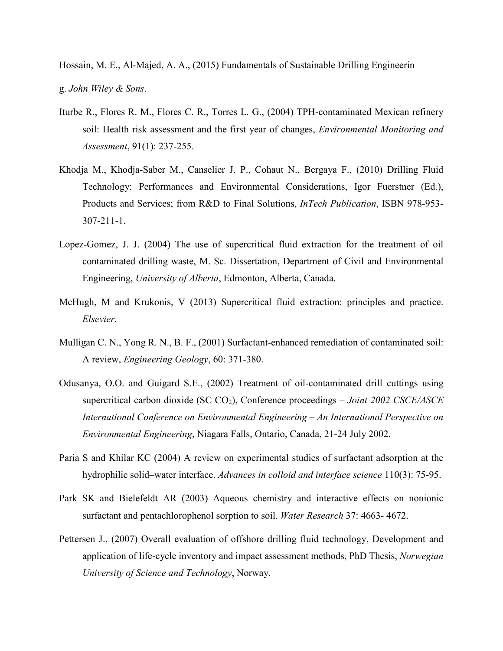Hossain, M. E., Al-Majed, A. A., (2015) Fundamentals of Sustainable Drilling Engineerin g. *John Wiley & Sons*.

- Iturbe R., Flores R. M., Flores C. R., Torres L. G., (2004) TPH-contaminated Mexican refinery soil: Health risk assessment and the first year of changes, *Environmental Monitoring and Assessment*, 91(1): 237-255.
- Khodja M., Khodja-Saber M., Canselier J. P., Cohaut N., Bergaya F., (2010) Drilling Fluid Technology: Performances and Environmental Considerations, Igor Fuerstner (Ed.), Products and Services; from R&D to Final Solutions, *InTech Publication*, ISBN 978-953- 307-211-1.
- Lopez-Gomez, J. J. (2004) The use of supercritical fluid extraction for the treatment of oil contaminated drilling waste, M. Sc. Dissertation, Department of Civil and Environmental Engineering, *University of Alberta*, Edmonton, Alberta, Canada.
- McHugh, M and Krukonis, V (2013) Supercritical fluid extraction: principles and practice. *Elsevier.*
- Mulligan C. N., Yong R. N., B. F., (2001) Surfactant-enhanced remediation of contaminated soil: A review, *Engineering Geology*, 60: 371-380.
- Odusanya, O.O. and Guigard S.E., (2002) Treatment of oil-contaminated drill cuttings using supercritical carbon dioxide (SC CO<sub>2</sub>), Conference proceedings – *Joint 2002 CSCE/ASCE International Conference on Environmental Engineering – An International Perspective on Environmental Engineering*, Niagara Falls, Ontario, Canada, 21-24 July 2002.
- Paria S and Khilar KC (2004) A review on experimental studies of surfactant adsorption at the hydrophilic solid–water interface. *Advances in colloid and interface science* 110(3): 75-95.
- Park SK and Bielefeldt AR (2003) Aqueous chemistry and interactive effects on nonionic surfactant and pentachlorophenol sorption to soil. *Water Research* 37: 4663- 4672.
- Pettersen J., (2007) Overall evaluation of offshore drilling fluid technology, Development and application of life-cycle inventory and impact assessment methods, PhD Thesis, *Norwegian University of Science and Technology*, Norway.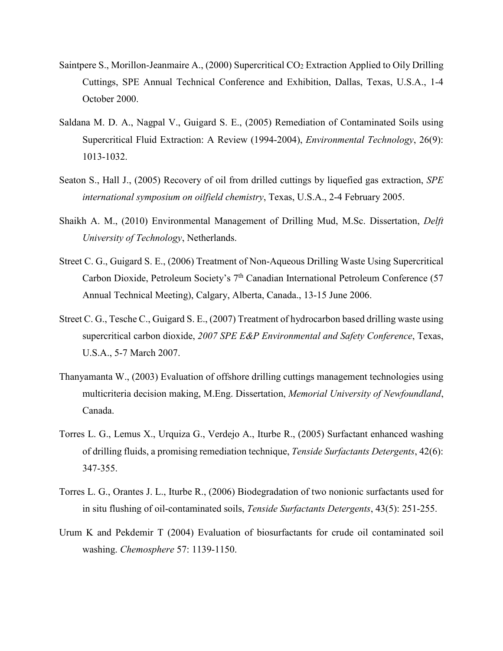- Saintpere S., Morillon-Jeanmaire A., (2000) Supercritical CO<sub>2</sub> Extraction Applied to Oily Drilling Cuttings, SPE Annual Technical Conference and Exhibition, Dallas, Texas, U.S.A., 1-4 October 2000.
- Saldana M. D. A., Nagpal V., Guigard S. E., (2005) Remediation of Contaminated Soils using Supercritical Fluid Extraction: A Review (1994-2004), *Environmental Technology*, 26(9): 1013-1032.
- Seaton S., Hall J., (2005) Recovery of oil from drilled cuttings by liquefied gas extraction, *SPE international symposium on oilfield chemistry*, Texas, U.S.A., 2-4 February 2005.
- Shaikh A. M., (2010) Environmental Management of Drilling Mud, M.Sc. Dissertation, *Delft University of Technology*, Netherlands.
- Street C. G., Guigard S. E., (2006) Treatment of Non-Aqueous Drilling Waste Using Supercritical Carbon Dioxide, Petroleum Society's 7<sup>th</sup> Canadian International Petroleum Conference (57 Annual Technical Meeting), Calgary, Alberta, Canada., 13-15 June 2006.
- Street C. G., Tesche C., Guigard S. E., (2007) Treatment of hydrocarbon based drilling waste using supercritical carbon dioxide, *2007 SPE E&P Environmental and Safety Conference*, Texas, U.S.A., 5-7 March 2007.
- Thanyamanta W., (2003) Evaluation of offshore drilling cuttings management technologies using multicriteria decision making, M.Eng. Dissertation, *Memorial University of Newfoundland*, Canada.
- Torres L. G., Lemus X., Urquiza G., Verdejo A., Iturbe R., (2005) Surfactant enhanced washing of drilling fluids, a promising remediation technique, *Tenside Surfactants Detergents*, 42(6): 347-355.
- Torres L. G., Orantes J. L., Iturbe R., (2006) Biodegradation of two nonionic surfactants used for in situ flushing of oil-contaminated soils, *Tenside Surfactants Detergents*, 43(5): 251-255.
- Urum K and Pekdemir T (2004) Evaluation of biosurfactants for crude oil contaminated soil washing. *Chemosphere* 57: 1139-1150.